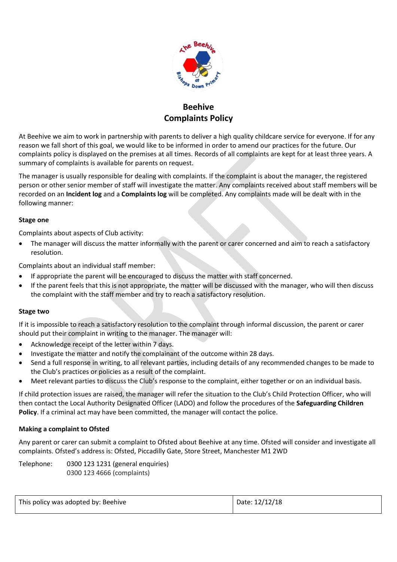

## **Beehive Complaints Policy**

At Beehive we aim to work in partnership with parents to deliver a high quality childcare service for everyone. If for any reason we fall short of this goal, we would like to be informed in order to amend our practices for the future. Our complaints policy is displayed on the premises at all times. Records of all complaints are kept for at least three years. A summary of complaints is available for parents on request.

The manager is usually responsible for dealing with complaints. If the complaint is about the manager, the registered person or other senior member of staff will investigate the matter. Any complaints received about staff members will be recorded on an **Incident log** and a **Complaints log** will be completed. Any complaints made will be dealt with in the following manner:

## **Stage one**

Complaints about aspects of Club activity:

 The manager will discuss the matter informally with the parent or carer concerned and aim to reach a satisfactory resolution.

Complaints about an individual staff member:

- If appropriate the parent will be encouraged to discuss the matter with staff concerned.
- If the parent feels that this is not appropriate, the matter will be discussed with the manager, who will then discuss the complaint with the staff member and try to reach a satisfactory resolution.

## **Stage two**

If it is impossible to reach a satisfactory resolution to the complaint through informal discussion, the parent or carer should put their complaint in writing to the manager. The manager will:

- Acknowledge receipt of the letter within 7 days.
- Investigate the matter and notify the complainant of the outcome within 28 days.
- Send a full response in writing, to all relevant parties, including details of any recommended changes to be made to the Club's practices or policies as a result of the complaint.
- Meet relevant parties to discuss the Club's response to the complaint, either together or on an individual basis.

If child protection issues are raised, the manager will refer the situation to the Club's Child Protection Officer, who will then contact the Local Authority Designated Officer (LADO) and follow the procedures of the **Safeguarding Children Policy**. If a criminal act may have been committed, the manager will contact the police.

## **Making a complaint to Ofsted**

Any parent or carer can submit a complaint to Ofsted about Beehive at any time. Ofsted will consider and investigate all complaints. Ofsted's address is: Ofsted, Piccadilly Gate, Store Street, Manchester M1 2WD

Telephone: 0300 123 1231 (general enquiries) 0300 123 4666 (complaints)

| This policy was adopted by: Beehive | Date: 12/12/18 |
|-------------------------------------|----------------|
|-------------------------------------|----------------|